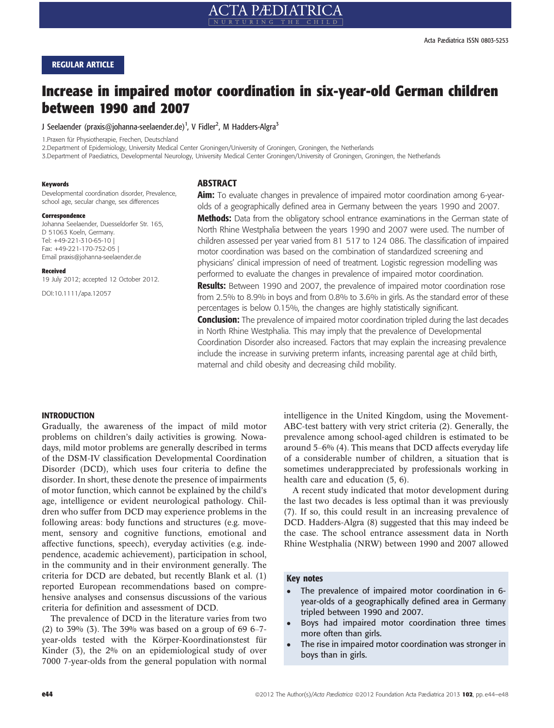## REGULAR ARTICLE

# Increase in impaired motor coordination in six-year-old German children between 1990 and 2007

J Seelaender (praxis@johanna-seelaender.de)<sup>1</sup>, V Fidler<sup>2</sup>, M Hadders-Algra<sup>3</sup>

1.Praxen für Physiotherapie, Frechen, Deutschland

2.Department of Epidemiology, University Medical Center Groningen/University of Groningen, Groningen, the Netherlands

3.Department of Paediatrics, Developmental Neurology, University Medical Center Groningen/University of Groningen, Groningen, the Netherlands

#### Keywords

Developmental coordination disorder, Prevalence, school age, secular change, sex differences

#### Correspondence

Johanna Seelaender, Duesseldorfer Str. 165, D 51063 Koeln, Germany. Tel: +49-221-310-65-10 | Fax: +49-221-170-752-05 | Email praxis@johanna-seelaender.de

#### Received

19 July 2012; accepted 12 October 2012.

DOI:10.1111/apa.12057

## **ABSTRACT**

Aim: To evaluate changes in prevalence of impaired motor coordination among 6-yearolds of a geographically defined area in Germany between the years 1990 and 2007. **Methods:** Data from the obligatory school entrance examinations in the German state of North Rhine Westphalia between the years 1990 and 2007 were used. The number of children assessed per year varied from 81 517 to 124 086. The classification of impaired motor coordination was based on the combination of standardized screening and physicians' clinical impression of need of treatment. Logistic regression modelling was performed to evaluate the changes in prevalence of impaired motor coordination. **Results:** Between 1990 and 2007, the prevalence of impaired motor coordination rose from 2.5% to 8.9% in boys and from 0.8% to 3.6% in girls. As the standard error of these percentages is below 0.15%, the changes are highly statistically significant.

**Conclusion:** The prevalence of impaired motor coordination tripled during the last decades in North Rhine Westphalia. This may imply that the prevalence of Developmental Coordination Disorder also increased. Factors that may explain the increasing prevalence include the increase in surviving preterm infants, increasing parental age at child birth, maternal and child obesity and decreasing child mobility.

## INTRODUCTION

Gradually, the awareness of the impact of mild motor problems on children's daily activities is growing. Nowadays, mild motor problems are generally described in terms of the DSM-IV classification Developmental Coordination Disorder (DCD), which uses four criteria to define the disorder. In short, these denote the presence of impairments of motor function, which cannot be explained by the child's age, intelligence or evident neurological pathology. Children who suffer from DCD may experience problems in the following areas: body functions and structures (e.g. movement, sensory and cognitive functions, emotional and affective functions, speech), everyday activities (e.g. independence, academic achievement), participation in school, in the community and in their environment generally. The criteria for DCD are debated, but recently Blank et al. (1) reported European recommendations based on comprehensive analyses and consensus discussions of the various criteria for definition and assessment of DCD.

The prevalence of DCD in the literature varies from two (2) to 39% (3). The 39% was based on a group of 69  $6-7$ year-olds tested with the Körper-Koordinationstest für Kinder (3), the 2% on an epidemiological study of over 7000 7-year-olds from the general population with normal intelligence in the United Kingdom, using the Movement-ABC-test battery with very strict criteria (2). Generally, the prevalence among school-aged children is estimated to be around 5–6% (4). This means that DCD affects everyday life of a considerable number of children, a situation that is sometimes underappreciated by professionals working in health care and education (5, 6).

A recent study indicated that motor development during the last two decades is less optimal than it was previously (7). If so, this could result in an increasing prevalence of DCD. Hadders-Algra (8) suggested that this may indeed be the case. The school entrance assessment data in North Rhine Westphalia (NRW) between 1990 and 2007 allowed

## Key notes

- The prevalence of impaired motor coordination in 6 year-olds of a geographically defined area in Germany tripled between 1990 and 2007.
- Boys had impaired motor coordination three times more often than girls.
- The rise in impaired motor coordination was stronger in boys than in girls.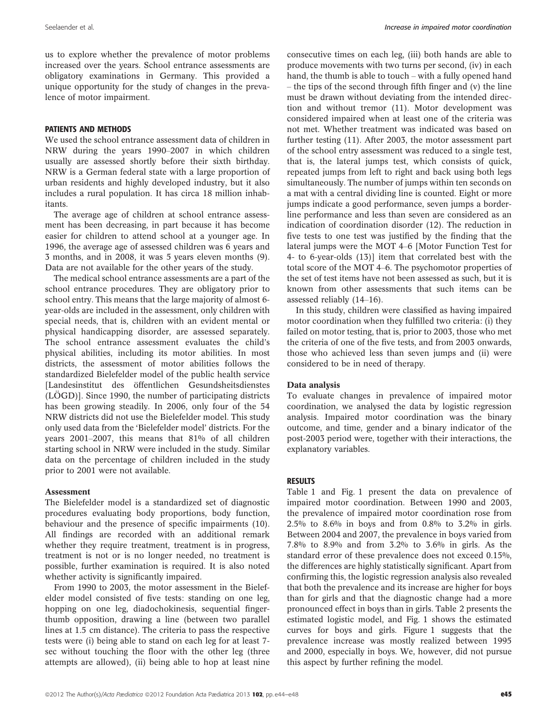us to explore whether the prevalence of motor problems increased over the years. School entrance assessments are obligatory examinations in Germany. This provided a unique opportunity for the study of changes in the prevalence of motor impairment.

## PATIENTS AND METHODS

We used the school entrance assessment data of children in NRW during the years 1990–2007 in which children usually are assessed shortly before their sixth birthday. NRW is a German federal state with a large proportion of urban residents and highly developed industry, but it also includes a rural population. It has circa 18 million inhabitants.

The average age of children at school entrance assessment has been decreasing, in part because it has become easier for children to attend school at a younger age. In 1996, the average age of assessed children was 6 years and 3 months, and in 2008, it was 5 years eleven months (9). Data are not available for the other years of the study.

The medical school entrance assessments are a part of the school entrance procedures. They are obligatory prior to school entry. This means that the large majority of almost 6 year-olds are included in the assessment, only children with special needs, that is, children with an evident mental or physical handicapping disorder, are assessed separately. The school entrance assessment evaluates the child's physical abilities, including its motor abilities. In most districts, the assessment of motor abilities follows the standardized Bielefelder model of the public health service [Landesinstitut des öffentlichen Gesundsheitsdienstes  $(LÖGD)$ ]. Since 1990, the number of participating districts has been growing steadily. In 2006, only four of the 54 NRW districts did not use the Bielefelder model. This study only used data from the 'Bielefelder model' districts. For the years 2001–2007, this means that 81% of all children starting school in NRW were included in the study. Similar data on the percentage of children included in the study prior to 2001 were not available.

## Assessment

The Bielefelder model is a standardized set of diagnostic procedures evaluating body proportions, body function, behaviour and the presence of specific impairments (10). All findings are recorded with an additional remark whether they require treatment, treatment is in progress, treatment is not or is no longer needed, no treatment is possible, further examination is required. It is also noted whether activity is significantly impaired.

From 1990 to 2003, the motor assessment in the Bielefelder model consisted of five tests: standing on one leg, hopping on one leg, diadochokinesis, sequential fingerthumb opposition, drawing a line (between two parallel lines at 1.5 cm distance). The criteria to pass the respective tests were (i) being able to stand on each leg for at least 7 sec without touching the floor with the other leg (three attempts are allowed), (ii) being able to hop at least nine consecutive times on each leg, (iii) both hands are able to produce movements with two turns per second, (iv) in each hand, the thumb is able to touch – with a fully opened hand – the tips of the second through fifth finger and (v) the line must be drawn without deviating from the intended direction and without tremor (11). Motor development was considered impaired when at least one of the criteria was not met. Whether treatment was indicated was based on further testing (11). After 2003, the motor assessment part of the school entry assessment was reduced to a single test, that is, the lateral jumps test, which consists of quick, repeated jumps from left to right and back using both legs simultaneously. The number of jumps within ten seconds on a mat with a central dividing line is counted. Eight or more jumps indicate a good performance, seven jumps a borderline performance and less than seven are considered as an indication of coordination disorder (12). The reduction in five tests to one test was justified by the finding that the lateral jumps were the MOT 4–6 [Motor Function Test for 4- to 6-year-olds (13)] item that correlated best with the total score of the MOT 4–6. The psychomotor properties of the set of test items have not been assessed as such, but it is known from other assessments that such items can be assessed reliably (14–16).

In this study, children were classified as having impaired motor coordination when they fulfilled two criteria: (i) they failed on motor testing, that is, prior to 2003, those who met the criteria of one of the five tests, and from 2003 onwards, those who achieved less than seven jumps and (ii) were considered to be in need of therapy.

## Data analysis

To evaluate changes in prevalence of impaired motor coordination, we analysed the data by logistic regression analysis. Impaired motor coordination was the binary outcome, and time, gender and a binary indicator of the post-2003 period were, together with their interactions, the explanatory variables.

#### RESULTS

Table 1 and Fig. 1 present the data on prevalence of impaired motor coordination. Between 1990 and 2003, the prevalence of impaired motor coordination rose from 2.5% to 8.6% in boys and from 0.8% to 3.2% in girls. Between 2004 and 2007, the prevalence in boys varied from 7.8% to 8.9% and from 3.2% to 3.6% in girls. As the standard error of these prevalence does not exceed 0.15%, the differences are highly statistically significant. Apart from confirming this, the logistic regression analysis also revealed that both the prevalence and its increase are higher for boys than for girls and that the diagnostic change had a more pronounced effect in boys than in girls. Table 2 presents the estimated logistic model, and Fig. 1 shows the estimated curves for boys and girls. Figure 1 suggests that the prevalence increase was mostly realized between 1995 and 2000, especially in boys. We, however, did not pursue this aspect by further refining the model.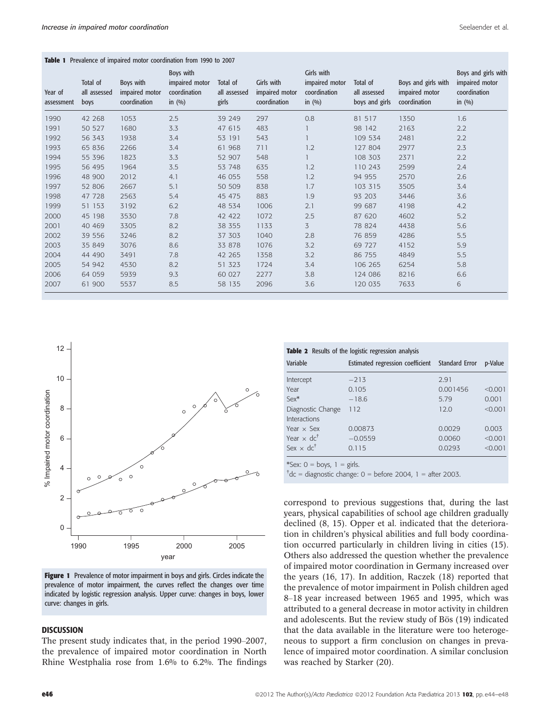#### Table 1 Prevalence of impaired motor coordination from 1990 to 2007

| Year of<br>assessment | Total of<br>all assessed<br>boys | Boys with<br>impaired motor<br>coordination | Boys with<br>impaired motor<br>coordination<br>in $(%)$ | Total of<br>all assessed<br>girls | Girls with<br>impaired motor<br>coordination | Girls with<br>impaired motor<br>coordination<br>in $(%)$ | Total of<br>all assessed<br>boys and girls | Boys and girls with<br>impaired motor<br>coordination | Boys and girls with<br>impaired motor<br>coordination<br>in $(%)$ |
|-----------------------|----------------------------------|---------------------------------------------|---------------------------------------------------------|-----------------------------------|----------------------------------------------|----------------------------------------------------------|--------------------------------------------|-------------------------------------------------------|-------------------------------------------------------------------|
| 1990                  | 42 268                           | 1053                                        | 2.5                                                     | 39 249                            | 297                                          | 0.8                                                      | 81 517                                     | 1350                                                  | 1.6                                                               |
| 1991                  | 50 527                           | 1680                                        | 3.3                                                     | 47 615                            | 483                                          |                                                          | 98 142                                     | 2163                                                  | 2.2                                                               |
| 1992                  | 56 343                           | 1938                                        | 3.4                                                     | 53 191                            | 543                                          |                                                          | 109 534                                    | 2481                                                  | 2.2                                                               |
| 1993                  | 65 836                           | 2266                                        | 3.4                                                     | 61 968                            | 711                                          | 1.2                                                      | 127 804                                    | 2977                                                  | 2.3                                                               |
| 1994                  | 55 396                           | 1823                                        | 3.3                                                     | 52 907                            | 548                                          |                                                          | 108 303                                    | 2371                                                  | 2.2                                                               |
| 1995                  | 56 495                           | 1964                                        | 3.5                                                     | 53 748                            | 635                                          | 1.2                                                      | 110 243                                    | 2599                                                  | 2.4                                                               |
| 1996                  | 48 900                           | 2012                                        | 4.1                                                     | 46 055                            | 558                                          | 1.2                                                      | 94 955                                     | 2570                                                  | 2.6                                                               |
| 1997                  | 52 806                           | 2667                                        | 5.1                                                     | 50 509                            | 838                                          | 1.7                                                      | 103 315                                    | 3505                                                  | 3.4                                                               |
| 1998                  | 47 728                           | 2563                                        | 5.4                                                     | 45 475                            | 883                                          | 1.9                                                      | 93 203                                     | 3446                                                  | 3.6                                                               |
| 1999                  | 51 153                           | 3192                                        | 6.2                                                     | 48 534                            | 1006                                         | 2.1                                                      | 99 687                                     | 4198                                                  | 4.2                                                               |
| 2000                  | 45 198                           | 3530                                        | 7.8                                                     | 42 422                            | 1072                                         | 2.5                                                      | 87 620                                     | 4602                                                  | 5.2                                                               |
| 2001                  | 40 469                           | 3305                                        | 8.2                                                     | 38 355                            | 1133                                         | 3                                                        | 78 824                                     | 4438                                                  | 5.6                                                               |
| 2002                  | 39 556                           | 3246                                        | 8.2                                                     | 37 303                            | 1040                                         | 2.8                                                      | 76 859                                     | 4286                                                  | 5.5                                                               |
| 2003                  | 35 849                           | 3076                                        | 8.6                                                     | 33 878                            | 1076                                         | 3.2                                                      | 69 727                                     | 4152                                                  | 5.9                                                               |
| 2004                  | 44 490                           | 3491                                        | 7.8                                                     | 42 265                            | 1358                                         | 3.2                                                      | 86 755                                     | 4849                                                  | 5.5                                                               |
| 2005                  | 54 942                           | 4530                                        | 8.2                                                     | 51 323                            | 1724                                         | 3.4                                                      | 106 265                                    | 6254                                                  | 5.8                                                               |
| 2006                  | 64 059                           | 5939                                        | 9.3                                                     | 60 027                            | 2277                                         | 3.8                                                      | 124 086                                    | 8216                                                  | 6.6                                                               |
| 2007                  | 61 900                           | 5537                                        | 8.5                                                     | 58 135                            | 2096                                         | 3.6                                                      | 120 035                                    | 7633                                                  | 6                                                                 |



**Figure 1** Prevalence of motor impairment in boys and girls. Circles indicate the prevalence of motor impairment, the curves reflect the changes over time indicated by logistic regression analysis. Upper curve: changes in boys, lower curve: changes in girls.

## DISCUSSION

The present study indicates that, in the period 1990–2007, the prevalence of impaired motor coordination in North Rhine Westphalia rose from 1.6% to 6.2%. The findings

#### Table 2 Results of the logistic regression analysis

|           |          | p-Value                                         |
|-----------|----------|-------------------------------------------------|
| $-213$    | 2.91     |                                                 |
| 0.105     | 0.001456 | < 0.001                                         |
| $-18.6$   | 5.79     | 0.001                                           |
| 112       | 12.0     | < 0.001                                         |
|           |          |                                                 |
| 0.00873   | 0.0029   | 0.003                                           |
| $-0.0559$ | 0.0060   | < 0.001                                         |
| 0.115     | 0.0293   | < 0.001                                         |
|           |          | Estimated regression coefficient Standard Error |

\*Sex:  $0 = \text{boys}, 1 = \text{girls}.$ 

 $\text{tdc}$  = diagnostic change: 0 = before 2004, 1 = after 2003.

correspond to previous suggestions that, during the last years, physical capabilities of school age children gradually declined (8, 15). Opper et al. indicated that the deterioration in children's physical abilities and full body coordination occurred particularly in children living in cities (15). Others also addressed the question whether the prevalence of impaired motor coordination in Germany increased over the years (16, 17). In addition, Raczek (18) reported that the prevalence of motor impairment in Polish children aged 8–18 year increased between 1965 and 1995, which was attributed to a general decrease in motor activity in children and adolescents. But the review study of Bös (19) indicated that the data available in the literature were too heterogeneous to support a firm conclusion on changes in prevalence of impaired motor coordination. A similar conclusion was reached by Starker (20).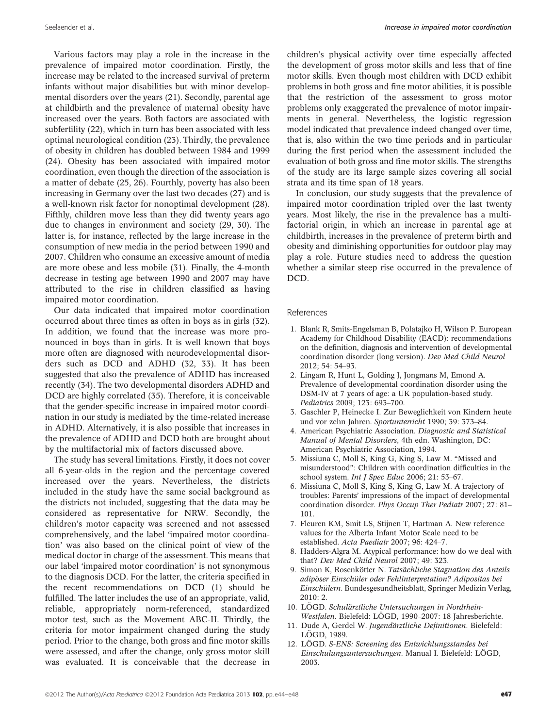Various factors may play a role in the increase in the prevalence of impaired motor coordination. Firstly, the increase may be related to the increased survival of preterm infants without major disabilities but with minor developmental disorders over the years (21). Secondly, parental age at childbirth and the prevalence of maternal obesity have increased over the years. Both factors are associated with subfertility (22), which in turn has been associated with less optimal neurological condition (23). Thirdly, the prevalence of obesity in children has doubled between 1984 and 1999 (24). Obesity has been associated with impaired motor coordination, even though the direction of the association is a matter of debate (25, 26). Fourthly, poverty has also been increasing in Germany over the last two decades (27) and is a well-known risk factor for nonoptimal development (28). Fifthly, children move less than they did twenty years ago due to changes in environment and society (29, 30). The latter is, for instance, reflected by the large increase in the consumption of new media in the period between 1990 and 2007. Children who consume an excessive amount of media are more obese and less mobile (31). Finally, the 4-month decrease in testing age between 1990 and 2007 may have attributed to the rise in children classified as having impaired motor coordination.

Our data indicated that impaired motor coordination occurred about three times as often in boys as in girls (32). In addition, we found that the increase was more pronounced in boys than in girls. It is well known that boys more often are diagnosed with neurodevelopmental disorders such as DCD and ADHD (32, 33). It has been suggested that also the prevalence of ADHD has increased recently (34). The two developmental disorders ADHD and DCD are highly correlated (35). Therefore, it is conceivable that the gender-specific increase in impaired motor coordination in our study is mediated by the time-related increase in ADHD. Alternatively, it is also possible that increases in the prevalence of ADHD and DCD both are brought about by the multifactorial mix of factors discussed above.

The study has several limitations. Firstly, it does not cover all 6-year-olds in the region and the percentage covered increased over the years. Nevertheless, the districts included in the study have the same social background as the districts not included, suggesting that the data may be considered as representative for NRW. Secondly, the children's motor capacity was screened and not assessed comprehensively, and the label 'impaired motor coordination' was also based on the clinical point of view of the medical doctor in charge of the assessment. This means that our label 'impaired motor coordination' is not synonymous to the diagnosis DCD. For the latter, the criteria specified in the recent recommendations on DCD (1) should be fulfilled. The latter includes the use of an appropriate, valid, reliable, appropriately norm-referenced, standardized motor test, such as the Movement ABC-II. Thirdly, the criteria for motor impairment changed during the study period. Prior to the change, both gross and fine motor skills were assessed, and after the change, only gross motor skill was evaluated. It is conceivable that the decrease in children's physical activity over time especially affected the development of gross motor skills and less that of fine motor skills. Even though most children with DCD exhibit problems in both gross and fine motor abilities, it is possible that the restriction of the assessment to gross motor problems only exaggerated the prevalence of motor impairments in general. Nevertheless, the logistic regression model indicated that prevalence indeed changed over time, that is, also within the two time periods and in particular during the first period when the assessment included the evaluation of both gross and fine motor skills. The strengths of the study are its large sample sizes covering all social strata and its time span of 18 years.

In conclusion, our study suggests that the prevalence of impaired motor coordination tripled over the last twenty years. Most likely, the rise in the prevalence has a multifactorial origin, in which an increase in parental age at childbirth, increases in the prevalence of preterm birth and obesity and diminishing opportunities for outdoor play may play a role. Future studies need to address the question whether a similar steep rise occurred in the prevalence of DCD.

#### References

- 1. Blank R, Smits-Engelsman B, Polatajko H, Wilson P. European Academy for Childhood Disability (EACD): recommendations on the definition, diagnosis and intervention of developmental coordination disorder (long version). Dev Med Child Neurol  $2012: 54: 54 - 93$ .
- 2. Lingam R, Hunt L, Golding J, Jongmans M, Emond A. Prevalence of developmental coordination disorder using the DSM-IV at 7 years of age: a UK population-based study. Pediatrics 2009; 123: 693–700.
- 3. Gaschler P, Heinecke I. Zur Beweglichkeit von Kindern heute und vor zehn Jahren. Sportunterricht 1990; 39: 373–84.
- 4. American Psychiatric Association. Diagnostic and Statistical Manual of Mental Disorders, 4th edn. Washington, DC: American Psychiatric Association, 1994.
- 5. Missiuna C, Moll S, King G, King S, Law M. "Missed and misunderstood": Children with coordination difficulties in the school system. *Int J Spec Educ* 2006; 21: 53–67.
- 6. Missiuna C, Moll S, King S, King G, Law M. A trajectory of troubles: Parents' impressions of the impact of developmental coordination disorder. Phys Occup Ther Pediatr 2007; 27: 81– 101.
- 7. Fleuren KM, Smit LS, Stijnen T, Hartman A. New reference values for the Alberta Infant Motor Scale need to be established. Acta Paediatr 2007; 96: 424–7.
- 8. Hadders-Algra M. Atypical performance: how do we deal with that? Dev Med Child Neurol 2007; 49: 323.
- 9. Simon K, Rosenkötter N. Tatsächliche Stagnation des Anteils adipöser Einschüler oder Fehlinterpretation? Adipositas bei Einschülern. Bundesgesundheitsblatt, Springer Medizin Verlag,  $2010:2$
- 10. LÖGD. Schulärztliche Untersuchungen in Nordrhein-Westfalen. Bielefeld: LÖGD, 1990–2007: 18 Jahresberichte.
- 11. Dude A, Gerdel W. Jugendärztliche Definitionen. Bielefeld: LÖGD, 1989.
- 12. LÖGD. S-ENS: Screening des Entwicklungsstandes bei Einschulungsuntersuchungen. Manual I. Bielefeld: LOGD, 2003.